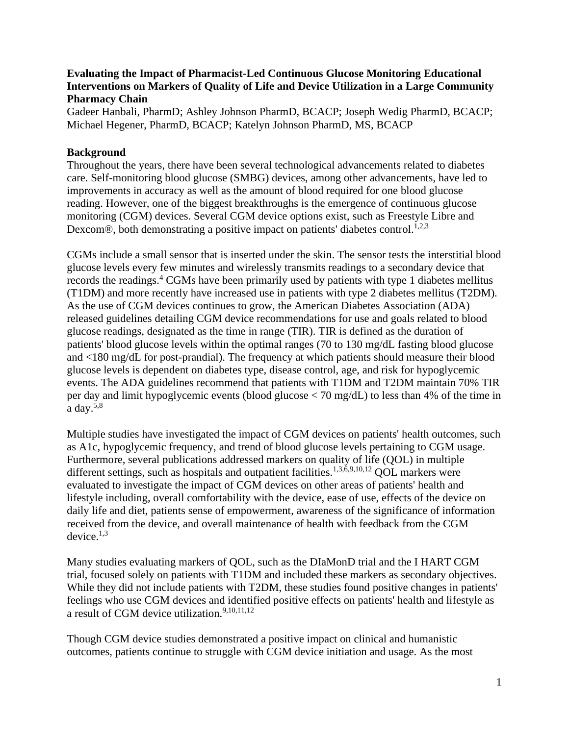# **Evaluating the Impact of Pharmacist-Led Continuous Glucose Monitoring Educational Interventions on Markers of Quality of Life and Device Utilization in a Large Community Pharmacy Chain**

Gadeer Hanbali, PharmD; Ashley Johnson PharmD, BCACP; Joseph Wedig PharmD, BCACP; Michael Hegener, PharmD, BCACP; Katelyn Johnson PharmD, MS, BCACP

# **Background**

Throughout the years, there have been several technological advancements related to diabetes care. Self-monitoring blood glucose (SMBG) devices, among other advancements, have led to improvements in accuracy as well as the amount of blood required for one blood glucose reading. However, one of the biggest breakthroughs is the emergence of continuous glucose monitoring (CGM) devices. Several CGM device options exist, such as Freestyle Libre and Dexcom®, both demonstrating a positive impact on patients' diabetes control.<sup>1,2,3</sup>

CGMs include a small sensor that is inserted under the skin. The sensor tests the interstitial blood glucose levels every few minutes and wirelessly transmits readings to a secondary device that records the readings.<sup>4</sup> CGMs have been primarily used by patients with type 1 diabetes mellitus (T1DM) and more recently have increased use in patients with type 2 diabetes mellitus (T2DM). As the use of CGM devices continues to grow, the American Diabetes Association (ADA) released guidelines detailing CGM device recommendations for use and goals related to blood glucose readings, designated as the time in range (TIR). TIR is defined as the duration of patients' blood glucose levels within the optimal ranges (70 to 130 mg/dL fasting blood glucose and <180 mg/dL for post-prandial). The frequency at which patients should measure their blood glucose levels is dependent on diabetes type, disease control, age, and risk for hypoglycemic events. The ADA guidelines recommend that patients with T1DM and T2DM maintain 70% TIR per day and limit hypoglycemic events (blood glucose < 70 mg/dL) to less than 4% of the time in a day.5,8

Multiple studies have investigated the impact of CGM devices on patients' health outcomes, such as A1c, hypoglycemic frequency, and trend of blood glucose levels pertaining to CGM usage. Furthermore, several publications addressed markers on quality of life (QOL) in multiple different settings, such as hospitals and outpatient facilities.<sup>1,3,6,9,10,12</sup> OOL markers were evaluated to investigate the impact of CGM devices on other areas of patients' health and lifestyle including, overall comfortability with the device, ease of use, effects of the device on daily life and diet, patients sense of empowerment, awareness of the significance of information received from the device, and overall maintenance of health with feedback from the CGM device. $1,3$ 

Many studies evaluating markers of QOL, such as the DIaMonD trial and the I HART CGM trial, focused solely on patients with T1DM and included these markers as secondary objectives. While they did not include patients with T2DM, these studies found positive changes in patients' feelings who use CGM devices and identified positive effects on patients' health and lifestyle as a result of CGM device utilization.<sup>9,10,11,12</sup>

Though CGM device studies demonstrated a positive impact on clinical and humanistic outcomes, patients continue to struggle with CGM device initiation and usage. As the most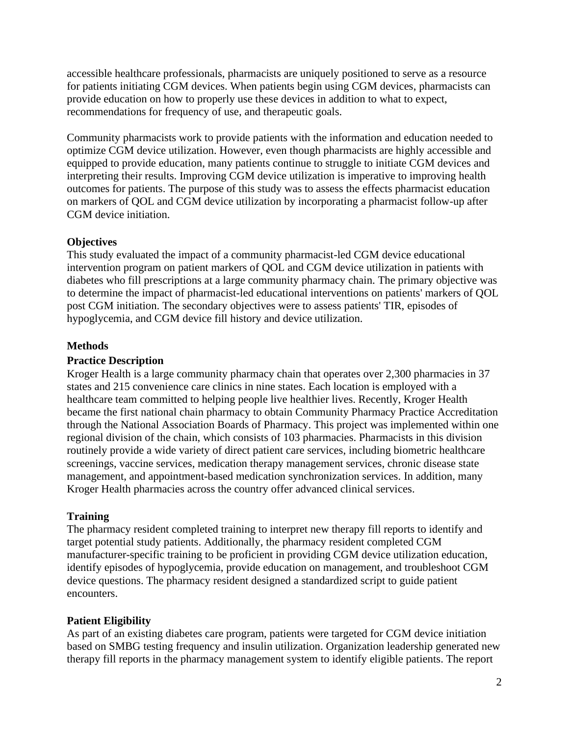accessible healthcare professionals, pharmacists are uniquely positioned to serve as a resource for patients initiating CGM devices. When patients begin using CGM devices, pharmacists can provide education on how to properly use these devices in addition to what to expect, recommendations for frequency of use, and therapeutic goals.

Community pharmacists work to provide patients with the information and education needed to optimize CGM device utilization. However, even though pharmacists are highly accessible and equipped to provide education, many patients continue to struggle to initiate CGM devices and interpreting their results. Improving CGM device utilization is imperative to improving health outcomes for patients. The purpose of this study was to assess the effects pharmacist education on markers of QOL and CGM device utilization by incorporating a pharmacist follow-up after CGM device initiation.

# **Objectives**

This study evaluated the impact of a community pharmacist-led CGM device educational intervention program on patient markers of QOL and CGM device utilization in patients with diabetes who fill prescriptions at a large community pharmacy chain. The primary objective was to determine the impact of pharmacist-led educational interventions on patients' markers of QOL post CGM initiation. The secondary objectives were to assess patients' TIR, episodes of hypoglycemia, and CGM device fill history and device utilization.

# **Methods**

# **Practice Description**

Kroger Health is a large community pharmacy chain that operates over 2,300 pharmacies in 37 states and 215 convenience care clinics in nine states. Each location is employed with a healthcare team committed to helping people live healthier lives. Recently, Kroger Health became the first national chain pharmacy to obtain Community Pharmacy Practice Accreditation through the National Association Boards of Pharmacy. This project was implemented within one regional division of the chain, which consists of 103 pharmacies. Pharmacists in this division routinely provide a wide variety of direct patient care services, including biometric healthcare screenings, vaccine services, medication therapy management services, chronic disease state management, and appointment-based medication synchronization services. In addition, many Kroger Health pharmacies across the country offer advanced clinical services.

# **Training**

The pharmacy resident completed training to interpret new therapy fill reports to identify and target potential study patients. Additionally, the pharmacy resident completed CGM manufacturer-specific training to be proficient in providing CGM device utilization education, identify episodes of hypoglycemia, provide education on management, and troubleshoot CGM device questions. The pharmacy resident designed a standardized script to guide patient encounters.

# **Patient Eligibility**

As part of an existing diabetes care program, patients were targeted for CGM device initiation based on SMBG testing frequency and insulin utilization. Organization leadership generated new therapy fill reports in the pharmacy management system to identify eligible patients. The report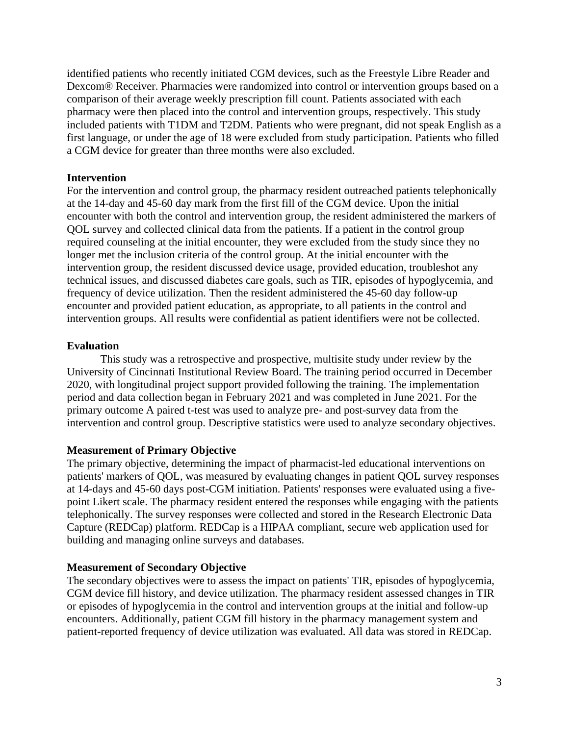identified patients who recently initiated CGM devices, such as the Freestyle Libre Reader and Dexcom® Receiver. Pharmacies were randomized into control or intervention groups based on a comparison of their average weekly prescription fill count. Patients associated with each pharmacy were then placed into the control and intervention groups, respectively. This study included patients with T1DM and T2DM. Patients who were pregnant, did not speak English as a first language, or under the age of 18 were excluded from study participation. Patients who filled a CGM device for greater than three months were also excluded.

#### **Intervention**

For the intervention and control group, the pharmacy resident outreached patients telephonically at the 14-day and 45-60 day mark from the first fill of the CGM device. Upon the initial encounter with both the control and intervention group, the resident administered the markers of QOL survey and collected clinical data from the patients. If a patient in the control group required counseling at the initial encounter, they were excluded from the study since they no longer met the inclusion criteria of the control group. At the initial encounter with the intervention group, the resident discussed device usage, provided education, troubleshot any technical issues, and discussed diabetes care goals, such as TIR, episodes of hypoglycemia, and frequency of device utilization. Then the resident administered the 45-60 day follow-up encounter and provided patient education, as appropriate, to all patients in the control and intervention groups. All results were confidential as patient identifiers were not be collected.

#### **Evaluation**

This study was a retrospective and prospective, multisite study under review by the University of Cincinnati Institutional Review Board. The training period occurred in December 2020, with longitudinal project support provided following the training. The implementation period and data collection began in February 2021 and was completed in June 2021. For the primary outcome A paired t-test was used to analyze pre- and post-survey data from the intervention and control group. Descriptive statistics were used to analyze secondary objectives.

### **Measurement of Primary Objective**

The primary objective, determining the impact of pharmacist-led educational interventions on patients' markers of QOL, was measured by evaluating changes in patient QOL survey responses at 14-days and 45-60 days post-CGM initiation. Patients' responses were evaluated using a fivepoint Likert scale. The pharmacy resident entered the responses while engaging with the patients telephonically. The survey responses were collected and stored in the Research Electronic Data Capture (REDCap) platform. REDCap is a HIPAA compliant, secure web application used for building and managing online surveys and databases.

#### **Measurement of Secondary Objective**

The secondary objectives were to assess the impact on patients' TIR, episodes of hypoglycemia, CGM device fill history, and device utilization. The pharmacy resident assessed changes in TIR or episodes of hypoglycemia in the control and intervention groups at the initial and follow-up encounters. Additionally, patient CGM fill history in the pharmacy management system and patient-reported frequency of device utilization was evaluated. All data was stored in REDCap.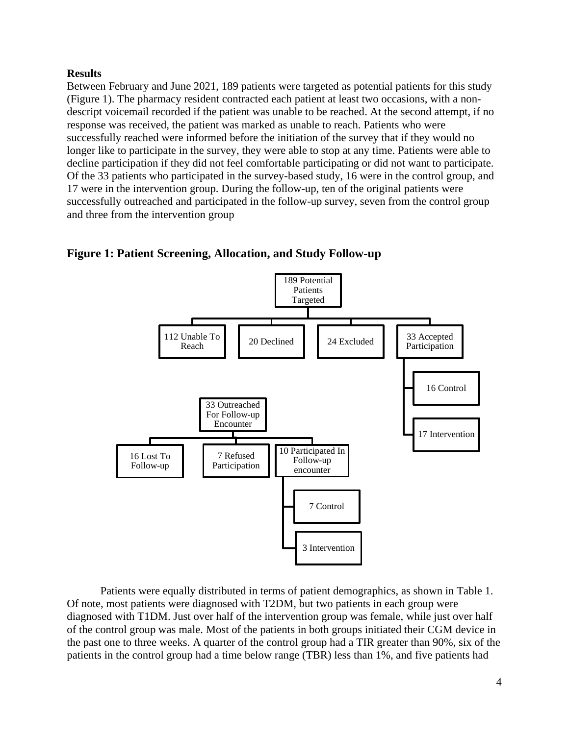### **Results**

Between February and June 2021, 189 patients were targeted as potential patients for this study (Figure 1). The pharmacy resident contracted each patient at least two occasions, with a nondescript voicemail recorded if the patient was unable to be reached. At the second attempt, if no response was received, the patient was marked as unable to reach. Patients who were successfully reached were informed before the initiation of the survey that if they would no longer like to participate in the survey, they were able to stop at any time. Patients were able to decline participation if they did not feel comfortable participating or did not want to participate. Of the 33 patients who participated in the survey-based study, 16 were in the control group, and 17 were in the intervention group. During the follow-up, ten of the original patients were successfully outreached and participated in the follow-up survey, seven from the control group and three from the intervention group



**Figure 1: Patient Screening, Allocation, and Study Follow-up**



Patients were equally distributed in terms of patient demographics, as shown in Table 1. Of note, most patients were diagnosed with T2DM, but two patients in each group were diagnosed with T1DM. Just over half of the intervention group was female, while just over half of the control group was male. Most of the patients in both groups initiated their CGM device in the past one to three weeks. A quarter of the control group had a TIR greater than 90%, six of the patients in the control group had a time below range (TBR) less than 1%, and five patients had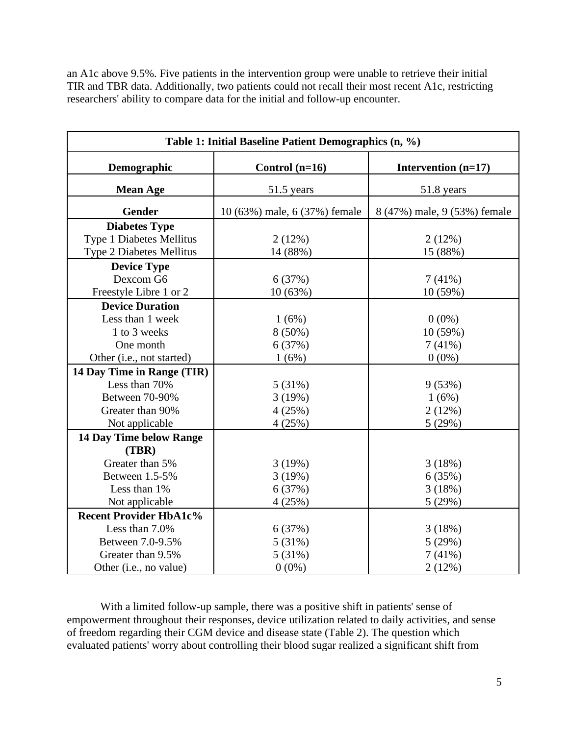an A1c above 9.5%. Five patients in the intervention group were unable to retrieve their initial TIR and TBR data. Additionally, two patients could not recall their most recent A1c, restricting researchers' ability to compare data for the initial and follow-up encounter.

| Table 1: Initial Baseline Patient Demographics (n, %) |                               |                              |  |  |  |  |  |
|-------------------------------------------------------|-------------------------------|------------------------------|--|--|--|--|--|
| Demographic                                           | Control $(n=16)$              | Intervention $(n=17)$        |  |  |  |  |  |
| <b>Mean Age</b>                                       | 51.5 years                    | 51.8 years                   |  |  |  |  |  |
| Gender                                                | 10 (63%) male, 6 (37%) female | 8 (47%) male, 9 (53%) female |  |  |  |  |  |
| <b>Diabetes Type</b>                                  |                               |                              |  |  |  |  |  |
| Type 1 Diabetes Mellitus                              | 2(12%)                        | 2(12%)                       |  |  |  |  |  |
| Type 2 Diabetes Mellitus                              | 14 (88%)                      | 15 (88%)                     |  |  |  |  |  |
| <b>Device Type</b>                                    |                               |                              |  |  |  |  |  |
| Dexcom G6                                             | 6(37%)                        | 7(41%)                       |  |  |  |  |  |
| Freestyle Libre 1 or 2                                | 10(63%)                       | 10(59%)                      |  |  |  |  |  |
| <b>Device Duration</b>                                |                               |                              |  |  |  |  |  |
| Less than 1 week                                      | 1(6%)                         | $0(0\%)$                     |  |  |  |  |  |
| 1 to 3 weeks                                          | $8(50\%)$                     | 10(59%)                      |  |  |  |  |  |
| One month                                             | 6(37%)                        | 7(41%)                       |  |  |  |  |  |
| Other (i.e., not started)                             | 1(6%)                         | $0(0\%)$                     |  |  |  |  |  |
| 14 Day Time in Range (TIR)                            |                               |                              |  |  |  |  |  |
| Less than 70%                                         | 5(31%)                        | 9(53%)                       |  |  |  |  |  |
| Between 70-90%                                        | 3(19%)                        | 1(6%)                        |  |  |  |  |  |
| Greater than 90%                                      | 4(25%)                        | 2(12%)                       |  |  |  |  |  |
| Not applicable                                        | 4(25%)                        | 5(29%)                       |  |  |  |  |  |
| 14 Day Time below Range                               |                               |                              |  |  |  |  |  |
| (TBR)                                                 |                               |                              |  |  |  |  |  |
| Greater than 5%                                       | 3(19%)                        | 3(18%)                       |  |  |  |  |  |
| Between 1.5-5%                                        | 3(19%)                        | 6(35%)                       |  |  |  |  |  |
| Less than 1%                                          | 6 (37%)                       | 3(18%)                       |  |  |  |  |  |
| Not applicable                                        | 4(25%)                        | 5(29%)                       |  |  |  |  |  |
| <b>Recent Provider HbA1c%</b>                         |                               |                              |  |  |  |  |  |
| Less than 7.0%                                        | 6(37%)                        | 3(18%)                       |  |  |  |  |  |
| Between 7.0-9.5%                                      | 5(31%)                        | 5(29%)                       |  |  |  |  |  |
| Greater than 9.5%                                     | 5(31%)                        | 7(41%)                       |  |  |  |  |  |
| Other (i.e., no value)                                | $0(0\%)$                      | 2(12%)                       |  |  |  |  |  |

With a limited follow-up sample, there was a positive shift in patients' sense of empowerment throughout their responses, device utilization related to daily activities, and sense of freedom regarding their CGM device and disease state (Table 2). The question which evaluated patients' worry about controlling their blood sugar realized a significant shift from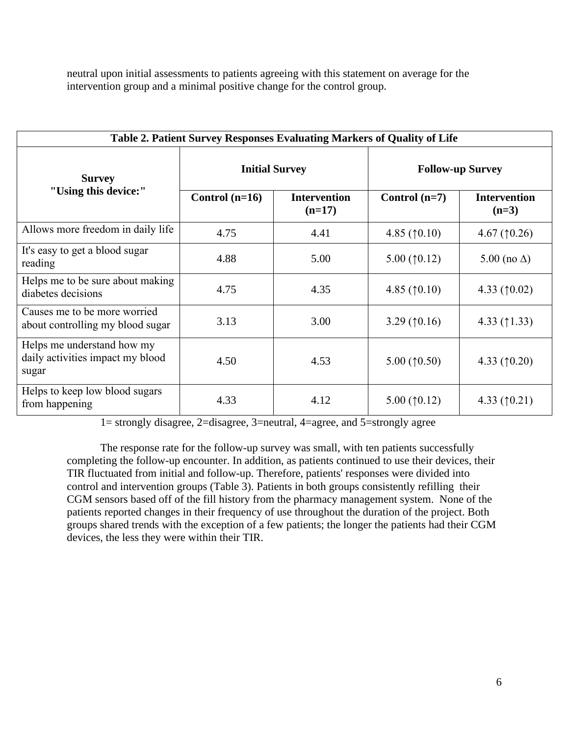neutral upon initial assessments to patients agreeing with this statement on average for the intervention group and a minimal positive change for the control group.

| Table 2. Patient Survey Responses Evaluating Markers of Quality of Life |                  |                                 |                         |                                |  |  |  |  |  |
|-------------------------------------------------------------------------|------------------|---------------------------------|-------------------------|--------------------------------|--|--|--|--|--|
| <b>Survey</b><br>"Using this device:"                                   |                  | <b>Initial Survey</b>           | <b>Follow-up Survey</b> |                                |  |  |  |  |  |
|                                                                         | Control $(n=16)$ | <b>Intervention</b><br>$(n=17)$ | Control $(n=7)$         | <b>Intervention</b><br>$(n=3)$ |  |  |  |  |  |
| Allows more freedom in daily life                                       | 4.75             | 4.41                            | 4.85 $(10.10)$          | 4.67 $(10.26)$                 |  |  |  |  |  |
| It's easy to get a blood sugar<br>reading                               | 4.88             | 5.00                            | 5.00 $(10.12)$          | 5.00 (no $\Delta$ )            |  |  |  |  |  |
| Helps me to be sure about making<br>diabetes decisions                  | 4.75             | 4.35                            | 4.85 $(10.10)$          | 4.33 $(10.02)$                 |  |  |  |  |  |
| Causes me to be more worried<br>about controlling my blood sugar        | 3.13             | 3.00                            | 3.29 $(10.16)$          | 4.33 $(1.33)$                  |  |  |  |  |  |
| Helps me understand how my<br>daily activities impact my blood<br>sugar | 4.50             | 4.53                            | 5.00 $(10.50)$          | 4.33 $(10.20)$                 |  |  |  |  |  |
| Helps to keep low blood sugars<br>from happening                        | 4.33             | 4.12                            | 5.00 $(10.12)$          | 4.33 $(10.21)$                 |  |  |  |  |  |

1= strongly disagree, 2=disagree, 3=neutral, 4=agree, and 5=strongly agree

The response rate for the follow-up survey was small, with ten patients successfully completing the follow-up encounter. In addition, as patients continued to use their devices, their TIR fluctuated from initial and follow-up. Therefore, patients' responses were divided into control and intervention groups (Table 3). Patients in both groups consistently refilling their CGM sensors based off of the fill history from the pharmacy management system. None of the patients reported changes in their frequency of use throughout the duration of the project. Both groups shared trends with the exception of a few patients; the longer the patients had their CGM devices, the less they were within their TIR.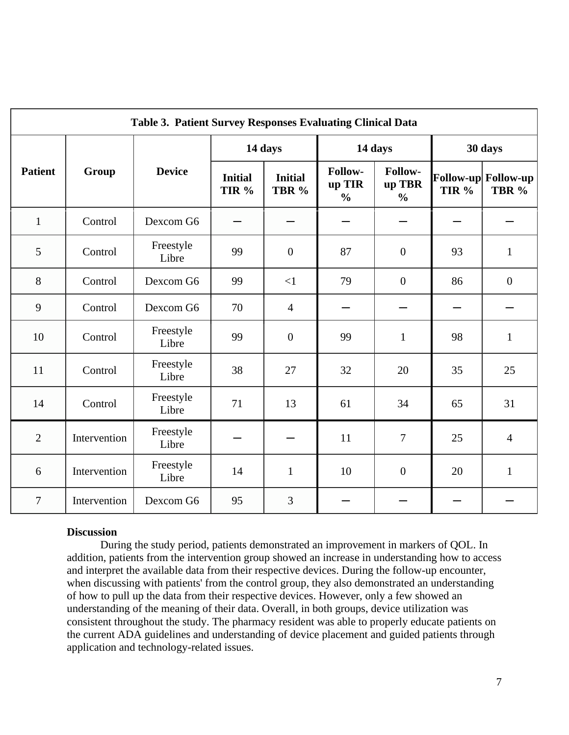| Table 3. Patient Survey Responses Evaluating Clinical Data |              |                    |                         |                         |                                    |                                    |                  |                              |  |  |
|------------------------------------------------------------|--------------|--------------------|-------------------------|-------------------------|------------------------------------|------------------------------------|------------------|------------------------------|--|--|
| <b>Patient</b>                                             |              | <b>Device</b>      | 14 days                 |                         | 14 days                            |                                    | 30 days          |                              |  |  |
|                                                            | Group        |                    | <b>Initial</b><br>TIR % | <b>Initial</b><br>TBR % | Follow-<br>up TIR<br>$\frac{0}{0}$ | Follow-<br>up TBR<br>$\frac{0}{0}$ | TIR <sup>%</sup> | Follow-up Follow-up<br>TBR % |  |  |
| $\mathbf{1}$                                               | Control      | Dexcom G6          |                         |                         |                                    |                                    |                  |                              |  |  |
| 5                                                          | Control      | Freestyle<br>Libre | 99                      | $\boldsymbol{0}$        | 87                                 | $\mathbf{0}$                       | 93               | $\mathbf{1}$                 |  |  |
| $8\,$                                                      | Control      | Dexcom G6          | 99                      | $\leq$ 1                | 79                                 | $\mathbf{0}$                       | 86               | $\boldsymbol{0}$             |  |  |
| 9                                                          | Control      | Dexcom G6          | 70                      | $\overline{4}$          |                                    |                                    |                  |                              |  |  |
| 10                                                         | Control      | Freestyle<br>Libre | 99                      | $\overline{0}$          | 99                                 | $\mathbf{1}$                       | 98               | $\mathbf{1}$                 |  |  |
| 11                                                         | Control      | Freestyle<br>Libre | 38                      | 27                      | 32                                 | 20                                 | 35               | 25                           |  |  |
| 14                                                         | Control      | Freestyle<br>Libre | 71                      | 13                      | 61                                 | 34                                 | 65               | 31                           |  |  |
| $\overline{2}$                                             | Intervention | Freestyle<br>Libre |                         |                         | 11                                 | $\overline{7}$                     | 25               | $\overline{4}$               |  |  |
| 6                                                          | Intervention | Freestyle<br>Libre | 14                      | $\mathbf{1}$            | 10                                 | $\mathbf{0}$                       | 20               | $\mathbf{1}$                 |  |  |
| $\overline{7}$                                             | Intervention | Dexcom G6          | 95                      | $\overline{3}$          |                                    |                                    |                  |                              |  |  |

#### **Discussion**

During the study period, patients demonstrated an improvement in markers of QOL. In addition, patients from the intervention group showed an increase in understanding how to access and interpret the available data from their respective devices. During the follow-up encounter, when discussing with patients' from the control group, they also demonstrated an understanding of how to pull up the data from their respective devices. However, only a few showed an understanding of the meaning of their data. Overall, in both groups, device utilization was consistent throughout the study. The pharmacy resident was able to properly educate patients on the current ADA guidelines and understanding of device placement and guided patients through application and technology-related issues.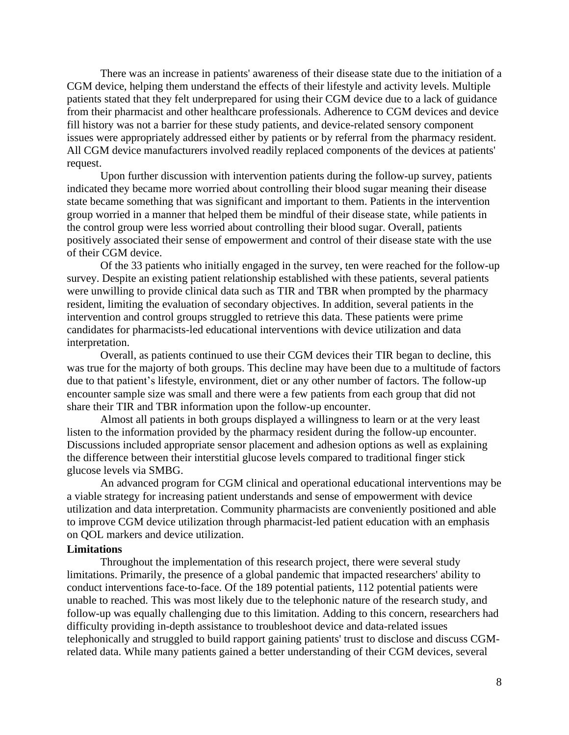There was an increase in patients' awareness of their disease state due to the initiation of a CGM device, helping them understand the effects of their lifestyle and activity levels. Multiple patients stated that they felt underprepared for using their CGM device due to a lack of guidance from their pharmacist and other healthcare professionals. Adherence to CGM devices and device fill history was not a barrier for these study patients, and device-related sensory component issues were appropriately addressed either by patients or by referral from the pharmacy resident. All CGM device manufacturers involved readily replaced components of the devices at patients' request.

Upon further discussion with intervention patients during the follow-up survey, patients indicated they became more worried about controlling their blood sugar meaning their disease state became something that was significant and important to them. Patients in the intervention group worried in a manner that helped them be mindful of their disease state, while patients in the control group were less worried about controlling their blood sugar. Overall, patients positively associated their sense of empowerment and control of their disease state with the use of their CGM device.

Of the 33 patients who initially engaged in the survey, ten were reached for the follow-up survey. Despite an existing patient relationship established with these patients, several patients were unwilling to provide clinical data such as TIR and TBR when prompted by the pharmacy resident, limiting the evaluation of secondary objectives. In addition, several patients in the intervention and control groups struggled to retrieve this data. These patients were prime candidates for pharmacists-led educational interventions with device utilization and data interpretation.

Overall, as patients continued to use their CGM devices their TIR began to decline, this was true for the majorty of both groups. This decline may have been due to a multitude of factors due to that patient's lifestyle, environment, diet or any other number of factors. The follow-up encounter sample size was small and there were a few patients from each group that did not share their TIR and TBR information upon the follow-up encounter.

Almost all patients in both groups displayed a willingness to learn or at the very least listen to the information provided by the pharmacy resident during the follow-up encounter. Discussions included appropriate sensor placement and adhesion options as well as explaining the difference between their interstitial glucose levels compared to traditional finger stick glucose levels via SMBG.

An advanced program for CGM clinical and operational educational interventions may be a viable strategy for increasing patient understands and sense of empowerment with device utilization and data interpretation. Community pharmacists are conveniently positioned and able to improve CGM device utilization through pharmacist-led patient education with an emphasis on QOL markers and device utilization.

#### **Limitations**

Throughout the implementation of this research project, there were several study limitations. Primarily, the presence of a global pandemic that impacted researchers' ability to conduct interventions face-to-face. Of the 189 potential patients, 112 potential patients were unable to reached. This was most likely due to the telephonic nature of the research study, and follow-up was equally challenging due to this limitation. Adding to this concern, researchers had difficulty providing in-depth assistance to troubleshoot device and data-related issues telephonically and struggled to build rapport gaining patients' trust to disclose and discuss CGMrelated data. While many patients gained a better understanding of their CGM devices, several